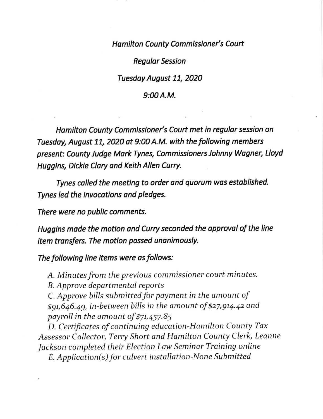Hamilton County Commissioner's Court

Regulor Session

Tuesday August 11, 2020

## $9:00A.M.$

Hamilton County Commissioner's Court met in regular session on Tuesday, August 11, 2020 at 9:00 A.M. with the following members present: County Judge Mark Tynes, Commissioners Johnny Wagner, Lloyd Huggins, Dickie Clory and Keith Allen Curry.

Tynes colled the meeting to order and quorum wos estoblished. Tynes led the invocotions ond pledges.

There were no public comments.

Huggins made the motion and Curry seconded the approval of the line item transfers. The motion possed unanimously.

The following line items were as follows:

A. Minutes from the previous commissioner court minutes.

B. Approve departmental reports

 $C$ . Approve bills submitted for payment in the amount of \$9t,646.49, in-between bills in the amount of \$27,9t4.42 and payroll in the amount of \$7t,457.85

D. Certificates of continuing education-Hamilton County Tax Assessor Collector, Terry Short and Hamilton County Clerk, Leanne Jackson completed their Election Law Seminar Training online  $E.$  Application( $s$ ) for culvert installation-None Submitted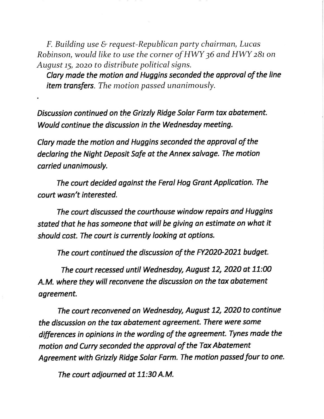$F.$  Building use  $\&$  request-Republican party chairman, Lucas Robinson, would like to use the corner of HWY 36 and HWY 281 on August 15, 2020 to distribute political signs.

Clary made the motion and Huggins seconded the approval of the line item transfers. The motion passed unanimously.

Discussion continued on the Grizzly Ridge Solor Farm tox obotement. Would continue the discussion in the Wednesday meeting.

Clary made the motion and Huggins seconded the approval of the declaring the Night Deposit Safe at the Annex salvage. The motion corried unanimously.

The court decided against the Feral Hog Grant Application. The court wasn't interested.

The court discussed the courthouse window repairs ond Huggins stoted thot he hos someone thot will be giving on estimate on whot it should cost. The court is currently looking ot options.

The court continued the discussion of the FY2020-2021 budget.

The court recessed until Wednesday, August 12, 2020 at 11:00 A.M. where they will reconvene the discussion on the tax obotement agreement.

The court reconvened on Wednesday, August 12, 2020 to continue the discussion on the tox obatement agreement. There were some differences in opinions in the wording of the agreement. Tynes made the motion and Curry seconded the approval of the Tax Abatement Agreement with Grizzly Ridge Solor Form. The motion passed four to one.

The court adjourned at 11:30 A.M.